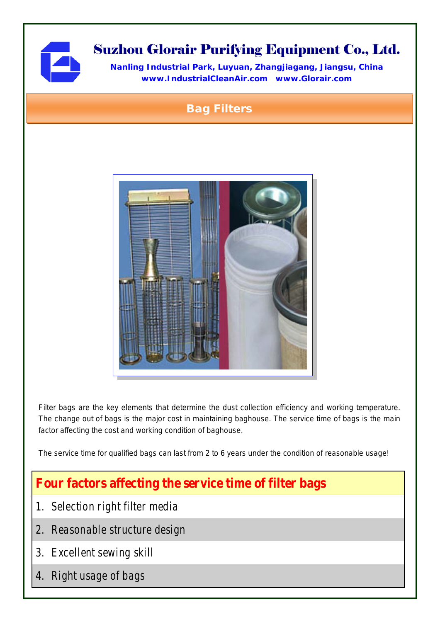

# Suzhou Glorair Purifying Equipment Co., Ltd.

**Nanling Industrial Park, Luyuan, Zhangjiagang, Jiangsu, China www.IndustrialCleanAir.com [www.Glorair.com](http://www.glorair.com/)**

## Bag Filters



Filter bags are the key elements that determine the dust collection efficiency and working temperature. The change out of bags is the major cost in maintaining baghouse. The service time of bags is the main factor affecting the cost and working condition of baghouse.

The service time for qualified bags can last from 2 to 6 years under the condition of reasonable usage!

## **Four factors affecting the service time of filter bags**

- *1. Selection right filter media*
- *2. Reasonable structure design*
- *3. Excellent sewing skill*
- *4. Right usage of bags*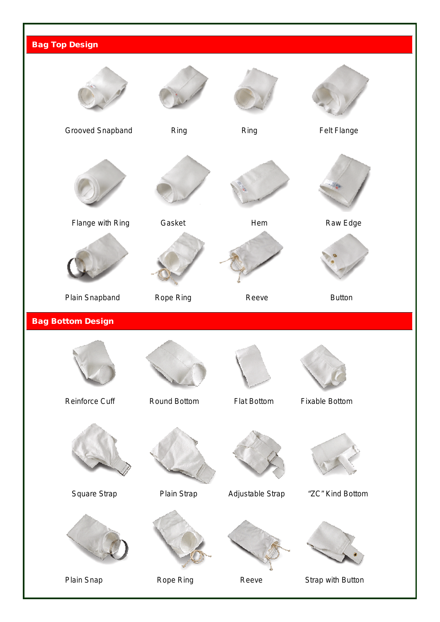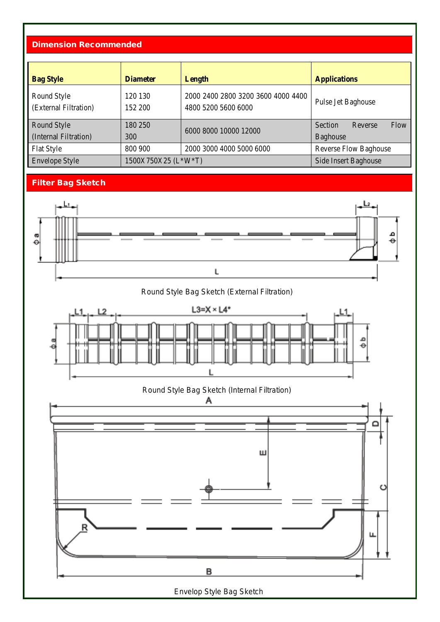#### Dimension Recommended

| <b>Bag Style</b>                     | <b>Diameter</b>     | Length                                                    | <b>Applications</b>        |  |  |
|--------------------------------------|---------------------|-----------------------------------------------------------|----------------------------|--|--|
| Round Style<br>(External Filtration) | 120 130<br>152 200  | 2000 2400 2800 3200 3600 4000 4400<br>4800 5200 5600 6000 | Pulse Jet Baghouse         |  |  |
| Round Style                          | 180 250             | 6000 8000 10000 12000                                     | Flow<br>Section<br>Reverse |  |  |
| (Internal Filtration)                | 300                 |                                                           | <b>Baghouse</b>            |  |  |
| <b>Flat Style</b>                    | 800 900             | 2000 3000 4000 5000 6000<br><b>Reverse Flow Baghouse</b>  |                            |  |  |
| <b>Envelope Style</b>                | 1500X750X25 (L*W*T) |                                                           | Side Insert Baghouse       |  |  |

### Filter Bag Sketch



Round Style Bag Sketch (External Filtration)



Round Style Bag Sketch (Internal Filtration)